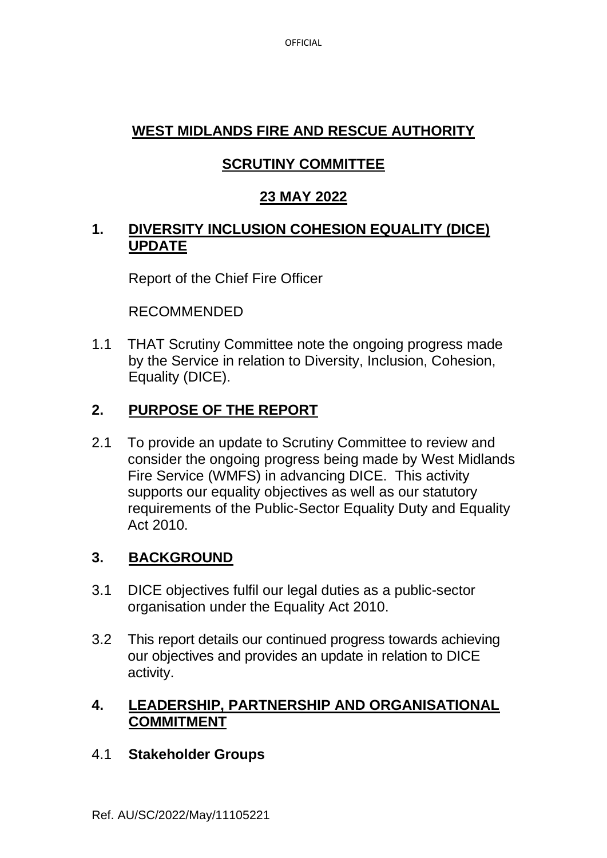OFFICIAL

# **WEST MIDLANDS FIRE AND RESCUE AUTHORITY**

# **SCRUTINY COMMITTEE**

# **23 MAY 2022**

### **1. DIVERSITY INCLUSION COHESION EQUALITY (DICE) UPDATE**

Report of the Chief Fire Officer

RECOMMENDED

1.1 THAT Scrutiny Committee note the ongoing progress made by the Service in relation to Diversity, Inclusion, Cohesion, Equality (DICE).

# **2. PURPOSE OF THE REPORT**

2.1 To provide an update to Scrutiny Committee to review and consider the ongoing progress being made by West Midlands Fire Service (WMFS) in advancing DICE. This activity supports our equality objectives as well as our statutory requirements of the Public-Sector Equality Duty and Equality Act 2010.

# **3. BACKGROUND**

- 3.1 DICE objectives fulfil our legal duties as a public-sector organisation under the Equality Act 2010.
- 3.2 This report details our continued progress towards achieving our objectives and provides an update in relation to DICE activity.

### **4. LEADERSHIP, PARTNERSHIP AND ORGANISATIONAL COMMITMENT**

#### 4.1 **Stakeholder Groups**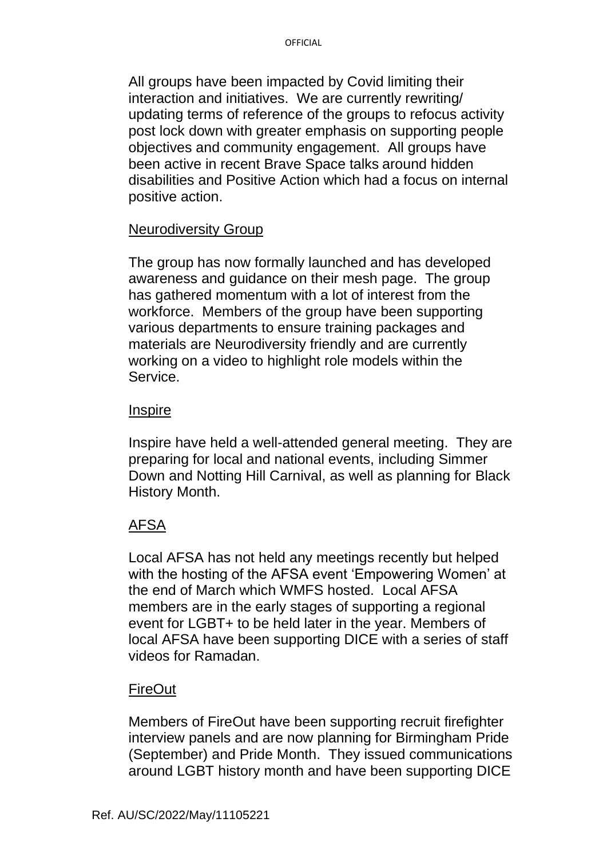All groups have been impacted by Covid limiting their interaction and initiatives. We are currently rewriting/ updating terms of reference of the groups to refocus activity post lock down with greater emphasis on supporting people objectives and community engagement. All groups have been active in recent Brave Space talks around hidden disabilities and Positive Action which had a focus on internal positive action.

#### Neurodiversity Group

The group has now formally launched and has developed awareness and guidance on their mesh page. The group has gathered momentum with a lot of interest from the workforce. Members of the group have been supporting various departments to ensure training packages and materials are Neurodiversity friendly and are currently working on a video to highlight role models within the Service.

#### **Inspire**

Inspire have held a well-attended general meeting. They are preparing for local and national events, including Simmer Down and Notting Hill Carnival, as well as planning for Black History Month.

#### AFSA

Local AFSA has not held any meetings recently but helped with the hosting of the AFSA event 'Empowering Women' at the end of March which WMFS hosted. Local AFSA members are in the early stages of supporting a regional event for LGBT+ to be held later in the year. Members of local AFSA have been supporting DICE with a series of staff videos for Ramadan.

#### **FireOut**

Members of FireOut have been supporting recruit firefighter interview panels and are now planning for Birmingham Pride (September) and Pride Month. They issued communications around LGBT history month and have been supporting DICE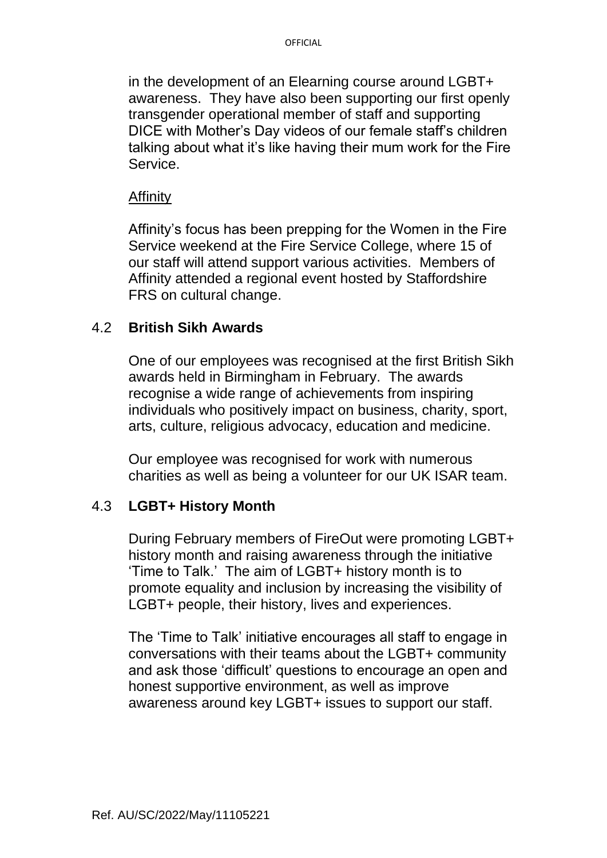in the development of an Elearning course around LGBT+ awareness. They have also been supporting our first openly transgender operational member of staff and supporting DICE with Mother's Day videos of our female staff's children talking about what it's like having their mum work for the Fire **Service** 

#### Affinity

Affinity's focus has been prepping for the Women in the Fire Service weekend at the Fire Service College, where 15 of our staff will attend support various activities. Members of Affinity attended a regional event hosted by Staffordshire FRS on cultural change.

#### 4.2 **British Sikh Awards**

One of our employees was recognised at the first British Sikh awards held in Birmingham in February. The awards recognise a wide range of achievements from inspiring individuals who positively impact on business, charity, sport, arts, culture, religious advocacy, education and medicine.

Our employee was recognised for work with numerous charities as well as being a volunteer for our UK ISAR team.

#### 4.3 **LGBT+ History Month**

During February members of FireOut were promoting LGBT+ history month and raising awareness through the initiative 'Time to Talk.' The aim of LGBT+ history month is to promote equality and inclusion by increasing the visibility of LGBT+ people, their history, lives and experiences.

The 'Time to Talk' initiative encourages all staff to engage in conversations with their teams about the LGBT+ community and ask those 'difficult' questions to encourage an open and honest supportive environment, as well as improve awareness around key LGBT+ issues to support our staff.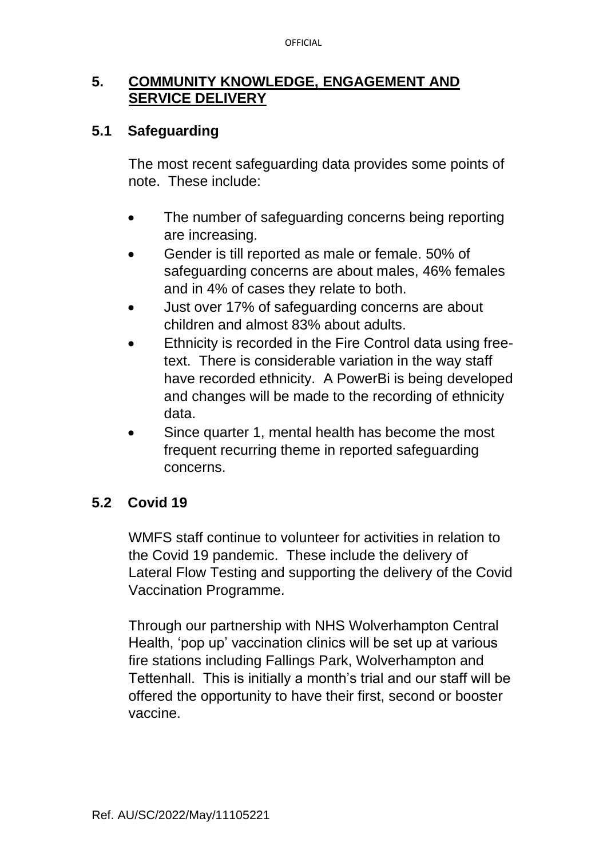### **5. COMMUNITY KNOWLEDGE, ENGAGEMENT AND SERVICE DELIVERY**

### **5.1 Safeguarding**

The most recent safeguarding data provides some points of note. These include:

- The number of safeguarding concerns being reporting are increasing.
- Gender is till reported as male or female. 50% of safeguarding concerns are about males, 46% females and in 4% of cases they relate to both.
- Just over 17% of safeguarding concerns are about children and almost 83% about adults.
- Ethnicity is recorded in the Fire Control data using freetext. There is considerable variation in the way staff have recorded ethnicity. A PowerBi is being developed and changes will be made to the recording of ethnicity data.
- Since quarter 1, mental health has become the most frequent recurring theme in reported safeguarding concerns.

# **5.2 Covid 19**

WMFS staff continue to volunteer for activities in relation to the Covid 19 pandemic. These include the delivery of Lateral Flow Testing and supporting the delivery of the Covid Vaccination Programme.

Through our partnership with NHS Wolverhampton Central Health, 'pop up' vaccination clinics will be set up at various fire stations including Fallings Park, Wolverhampton and Tettenhall. This is initially a month's trial and our staff will be offered the opportunity to have their first, second or booster vaccine.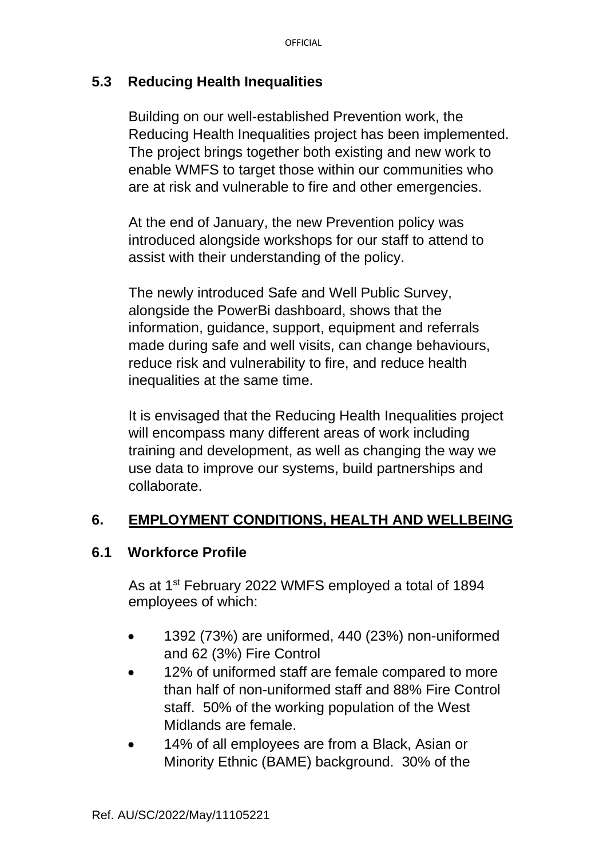### **5.3 Reducing Health Inequalities**

Building on our well-established Prevention work, the Reducing Health Inequalities project has been implemented. The project brings together both existing and new work to enable WMFS to target those within our communities who are at risk and vulnerable to fire and other emergencies.

At the end of January, the new Prevention policy was introduced alongside workshops for our staff to attend to assist with their understanding of the policy.

The newly introduced Safe and Well Public Survey, alongside the PowerBi dashboard, shows that the information, guidance, support, equipment and referrals made during safe and well visits, can change behaviours, reduce risk and vulnerability to fire, and reduce health inequalities at the same time.

It is envisaged that the Reducing Health Inequalities project will encompass many different areas of work including training and development, as well as changing the way we use data to improve our systems, build partnerships and collaborate.

# **6. EMPLOYMENT CONDITIONS, HEALTH AND WELLBEING**

#### **6.1 Workforce Profile**

As at 1st February 2022 WMFS employed a total of 1894 employees of which:

- 1392 (73%) are uniformed, 440 (23%) non-uniformed and 62 (3%) Fire Control
- 12% of uniformed staff are female compared to more than half of non-uniformed staff and 88% Fire Control staff. 50% of the working population of the West Midlands are female.
- 14% of all employees are from a Black, Asian or Minority Ethnic (BAME) background. 30% of the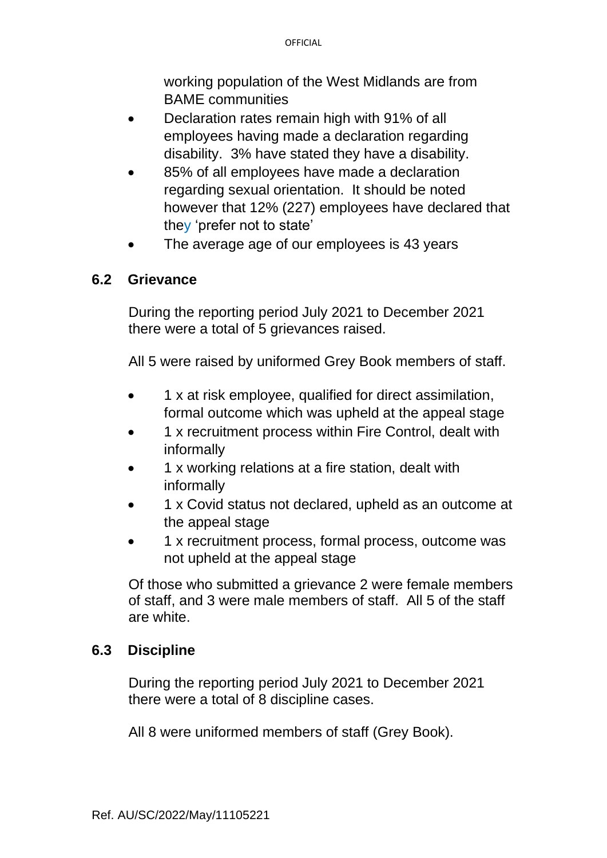working population of the West Midlands are from BAME communities

- Declaration rates remain high with 91% of all employees having made a declaration regarding disability. 3% have stated they have a disability.
- 85% of all employees have made a declaration regarding sexual orientation. It should be noted however that 12% (227) employees have declared that they 'prefer not to state'
- The average age of our employees is 43 years

#### **6.2 Grievance**

During the reporting period July 2021 to December 2021 there were a total of 5 grievances raised.

All 5 were raised by uniformed Grey Book members of staff.

- 1 x at risk employee, qualified for direct assimilation, formal outcome which was upheld at the appeal stage
- 1 x recruitment process within Fire Control, dealt with informally
- 1 x working relations at a fire station, dealt with informally
- 1 x Covid status not declared, upheld as an outcome at the appeal stage
- 1 x recruitment process, formal process, outcome was not upheld at the appeal stage

Of those who submitted a grievance 2 were female members of staff, and 3 were male members of staff. All 5 of the staff are white.

#### **6.3 Discipline**

During the reporting period July 2021 to December 2021 there were a total of 8 discipline cases.

All 8 were uniformed members of staff (Grey Book).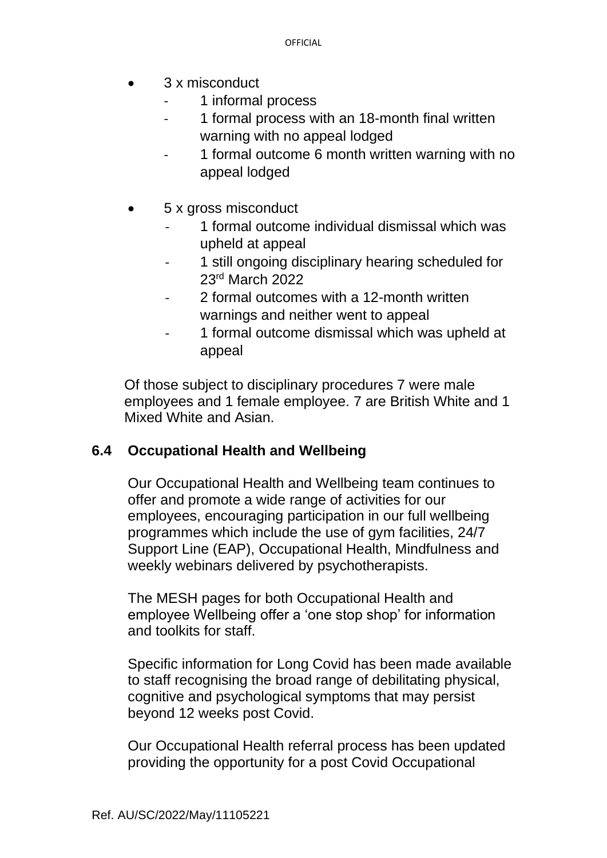- 3 x misconduct
	- 1 informal process
	- 1 formal process with an 18-month final written warning with no appeal lodged
	- 1 formal outcome 6 month written warning with no appeal lodged
- 5 x gross misconduct
	- 1 formal outcome individual dismissal which was upheld at appeal
	- 1 still ongoing disciplinary hearing scheduled for 23rd March 2022
	- 2 formal outcomes with a 12-month written warnings and neither went to appeal
	- 1 formal outcome dismissal which was upheld at appeal

Of those subject to disciplinary procedures 7 were male employees and 1 female employee. 7 are British White and 1 Mixed White and Asian.

# **6.4 Occupational Health and Wellbeing**

Our Occupational Health and Wellbeing team continues to offer and promote a wide range of activities for our employees, encouraging participation in our full wellbeing programmes which include the use of gym facilities, 24/7 Support Line (EAP), Occupational Health, Mindfulness and weekly webinars delivered by psychotherapists.

The MESH pages for both Occupational Health and employee Wellbeing offer a 'one stop shop' for information and toolkits for staff.

Specific information for Long Covid has been made available to staff recognising the broad range of debilitating physical, cognitive and psychological symptoms that may persist beyond 12 weeks post Covid.

Our Occupational Health referral process has been updated providing the opportunity for a post Covid Occupational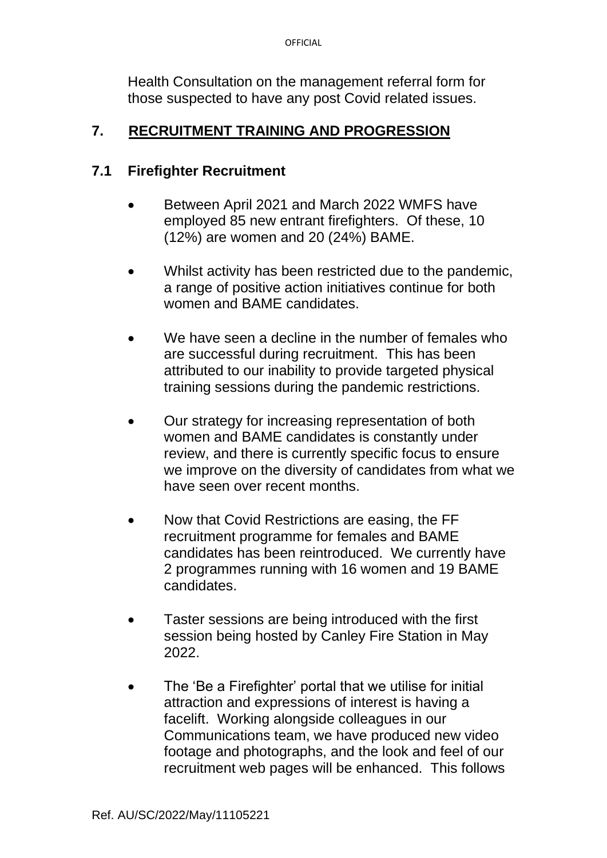Health Consultation on the management referral form for those suspected to have any post Covid related issues.

## **7. RECRUITMENT TRAINING AND PROGRESSION**

#### **7.1 Firefighter Recruitment**

- Between April 2021 and March 2022 WMFS have employed 85 new entrant firefighters. Of these, 10 (12%) are women and 20 (24%) BAME.
- Whilst activity has been restricted due to the pandemic, a range of positive action initiatives continue for both women and BAME candidates.
- We have seen a decline in the number of females who are successful during recruitment. This has been attributed to our inability to provide targeted physical training sessions during the pandemic restrictions.
- Our strategy for increasing representation of both women and BAME candidates is constantly under review, and there is currently specific focus to ensure we improve on the diversity of candidates from what we have seen over recent months.
- Now that Covid Restrictions are easing, the FF recruitment programme for females and BAME candidates has been reintroduced. We currently have 2 programmes running with 16 women and 19 BAME candidates.
- Taster sessions are being introduced with the first session being hosted by Canley Fire Station in May 2022.
- The 'Be a Firefighter' portal that we utilise for initial attraction and expressions of interest is having a facelift. Working alongside colleagues in our Communications team, we have produced new video footage and photographs, and the look and feel of our recruitment web pages will be enhanced. This follows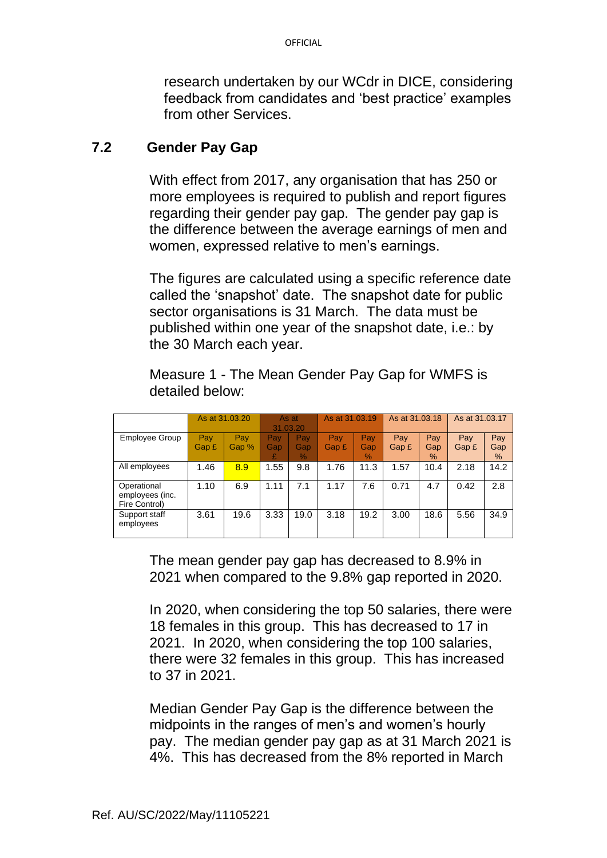research undertaken by our WCdr in DICE, considering feedback from candidates and 'best practice' examples from other Services.

#### **7.2 Gender Pay Gap**

With effect from 2017, any organisation that has 250 or more employees is required to publish and report figures regarding their gender pay gap. The gender pay gap is the difference between the average earnings of men and women, expressed relative to men's earnings.

The figures are calculated using a specific reference date called the 'snapshot' date. The snapshot date for public sector organisations is 31 March. The data must be published within one year of the snapshot date, i.e.: by the 30 March each year.

|                                                 | As at 31,03,20 |              | As at<br>31.03.20      |                             | As at 31.03.19 |                    | As at 31,03,18 |                             | As at 31,03,17 |                 |
|-------------------------------------------------|----------------|--------------|------------------------|-----------------------------|----------------|--------------------|----------------|-----------------------------|----------------|-----------------|
| Employee Group                                  | Pav<br>Gap £   | Pay<br>Gap % | <b>Pay</b><br>Gap<br>£ | Pav<br>Gap<br>$\frac{9}{6}$ | Pay<br>Gap £   | Pay<br>Gap<br>$\%$ | Pay<br>Gap £   | Pay<br>Gap<br>$\frac{9}{6}$ | Pay<br>Gap £   | Pay<br>Gap<br>% |
| All employees                                   | 1.46           | 8.9          | 1.55                   | 9.8                         | 1.76           | 11.3               | 1.57           | 10.4                        | 2.18           | 14.2            |
| Operational<br>employees (inc.<br>Fire Control) | 1.10           | 6.9          | 1.11                   | 7.1                         | 1.17           | 7.6                | 0.71           | 4.7                         | 0.42           | 2.8             |
| Support staff<br>employees                      | 3.61           | 19.6         | 3.33                   | 19.0                        | 3.18           | 19.2               | 3.00           | 18.6                        | 5.56           | 34.9            |

Measure 1 - The Mean Gender Pay Gap for WMFS is detailed below:

The mean gender pay gap has decreased to 8.9% in 2021 when compared to the 9.8% gap reported in 2020.

In 2020, when considering the top 50 salaries, there were 18 females in this group. This has decreased to 17 in 2021. In 2020, when considering the top 100 salaries, there were 32 females in this group. This has increased to 37 in 2021.

Median Gender Pay Gap is the difference between the midpoints in the ranges of men's and women's hourly pay. The median gender pay gap as at 31 March 2021 is 4%. This has decreased from the 8% reported in March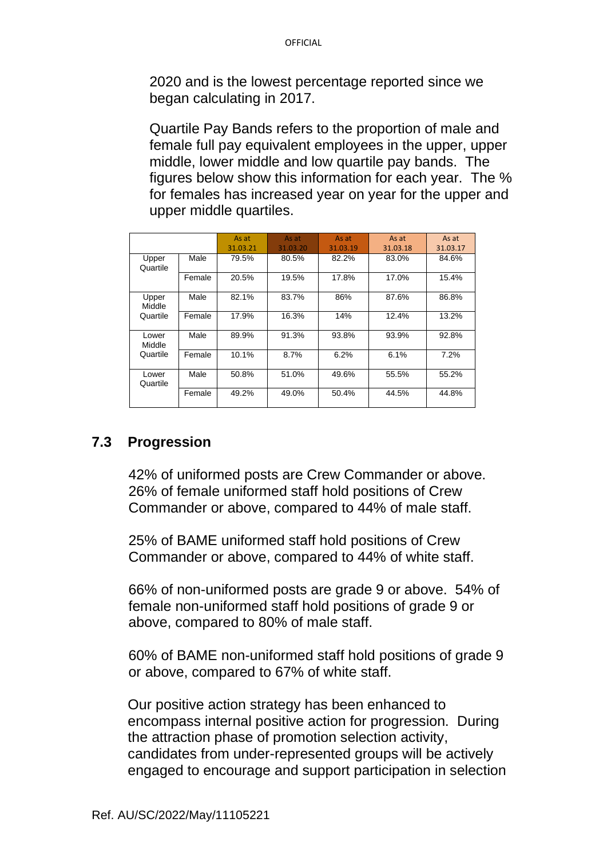2020 and is the lowest percentage reported since we began calculating in 2017.

Quartile Pay Bands refers to the proportion of male and female full pay equivalent employees in the upper, upper middle, lower middle and low quartile pay bands. The figures below show this information for each year. The % for females has increased year on year for the upper and upper middle quartiles.

|                             |        | As at<br>31.03.21 | As at<br>31.03.20 | As at<br>31.03.19 | As at<br>31.03.18 | As at<br>31.03.17 |
|-----------------------------|--------|-------------------|-------------------|-------------------|-------------------|-------------------|
| Upper<br>Quartile           | Male   | 79.5%             | 80.5%             | 82.2%             | 83.0%             | 84.6%             |
|                             | Female | 20.5%             | 19.5%             | 17.8%             | 17.0%             | 15.4%             |
| Upper<br>Middle<br>Quartile | Male   | 82.1%             | 83.7%             | 86%               | 87.6%             | 86.8%             |
|                             | Female | 17.9%             | 16.3%             | 14%               | 12.4%             | 13.2%             |
| Lower<br>Middle<br>Quartile | Male   | 89.9%             | 91.3%             | 93.8%             | 93.9%             | 92.8%             |
|                             | Female | 10.1%             | 8.7%              | 6.2%              | 6.1%              | 7.2%              |
| Lower<br>Quartile           | Male   | 50.8%             | 51.0%             | 49.6%             | 55.5%             | 55.2%             |
|                             | Female | 49.2%             | 49.0%             | 50.4%             | 44.5%             | 44.8%             |

# **7.3 Progression**

42% of uniformed posts are Crew Commander or above. 26% of female uniformed staff hold positions of Crew Commander or above, compared to 44% of male staff.

25% of BAME uniformed staff hold positions of Crew Commander or above, compared to 44% of white staff.

66% of non-uniformed posts are grade 9 or above. 54% of female non-uniformed staff hold positions of grade 9 or above, compared to 80% of male staff.

60% of BAME non-uniformed staff hold positions of grade 9 or above, compared to 67% of white staff.

Our positive action strategy has been enhanced to encompass internal positive action for progression. During the attraction phase of promotion selection activity, candidates from under-represented groups will be actively engaged to encourage and support participation in selection